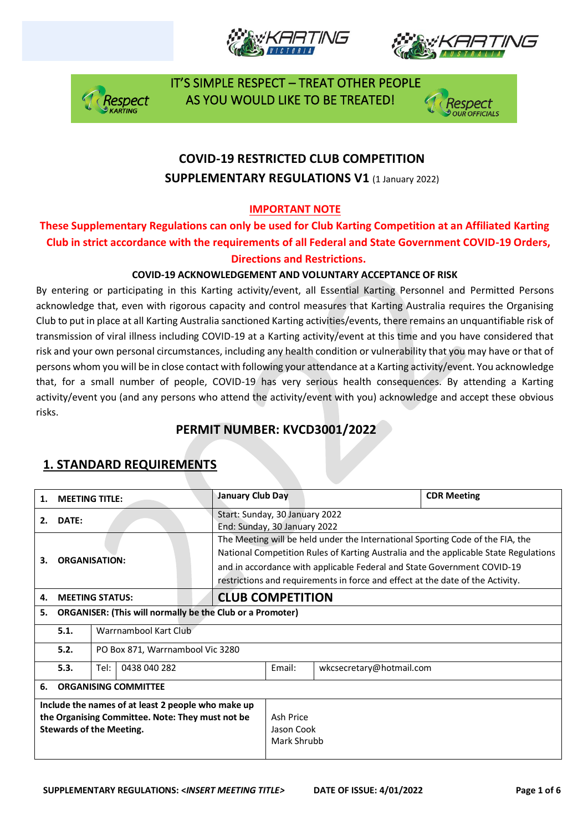







# **COVID-19 RESTRICTED CLUB COMPETITION SUPPLEMENTARY REGULATIONS V1 (1 January 2022)**

### **IMPORTANT NOTE**

### **These Supplementary Regulations can only be used for Club Karting Competition at an Affiliated Karting Club in strict accordance with the requirements of all Federal and State Government COVID-19 Orders, Directions and Restrictions.**

#### **COVID-19 ACKNOWLEDGEMENT AND VOLUNTARY ACCEPTANCE OF RISK**

By entering or participating in this Karting activity/event, all Essential Karting Personnel and Permitted Persons acknowledge that, even with rigorous capacity and control measures that Karting Australia requires the Organising Club to put in place at all Karting Australia sanctioned Karting activities/events, there remains an unquantifiable risk of transmission of viral illness including COVID-19 at a Karting activity/event at this time and you have considered that risk and your own personal circumstances, including any health condition or vulnerability that you may have or that of persons whom you will be in close contact with following your attendance at a Karting activity/event. You acknowledge that, for a small number of people, COVID-19 has very serious health consequences. By attending a Karting activity/event you (and any persons who attend the activity/event with you) acknowledge and accept these obvious risks.

## **PERMIT NUMBER: KVCD3001/2022**

| 1.                                                                                                                                        | <b>MEETING TITLE:</b>                                            |                                  | <b>January Club Day</b>                |                                                                                                                                                                                                                                                                                                                                     |                          | <b>CDR Meeting</b> |  |
|-------------------------------------------------------------------------------------------------------------------------------------------|------------------------------------------------------------------|----------------------------------|----------------------------------------|-------------------------------------------------------------------------------------------------------------------------------------------------------------------------------------------------------------------------------------------------------------------------------------------------------------------------------------|--------------------------|--------------------|--|
| 2.                                                                                                                                        | DATE:                                                            |                                  |                                        | Start: Sunday, 30 January 2022<br>End: Sunday, 30 January 2022                                                                                                                                                                                                                                                                      |                          |                    |  |
| З.                                                                                                                                        | <b>ORGANISATION:</b>                                             |                                  |                                        | The Meeting will be held under the International Sporting Code of the FIA, the<br>National Competition Rules of Karting Australia and the applicable State Regulations<br>and in accordance with applicable Federal and State Government COVID-19<br>restrictions and requirements in force and effect at the date of the Activity. |                          |                    |  |
| 4.                                                                                                                                        |                                                                  | <b>MEETING STATUS:</b>           |                                        | <b>CLUB COMPETITION</b>                                                                                                                                                                                                                                                                                                             |                          |                    |  |
| 5.                                                                                                                                        | <b>ORGANISER: (This will normally be the Club or a Promoter)</b> |                                  |                                        |                                                                                                                                                                                                                                                                                                                                     |                          |                    |  |
|                                                                                                                                           | 5.1.                                                             | Warrnambool Kart Club            |                                        |                                                                                                                                                                                                                                                                                                                                     |                          |                    |  |
|                                                                                                                                           | 5.2.                                                             | PO Box 871, Warrnambool Vic 3280 |                                        |                                                                                                                                                                                                                                                                                                                                     |                          |                    |  |
|                                                                                                                                           | 5.3.                                                             | Tel:<br>0438 040 282             |                                        | Fmail:                                                                                                                                                                                                                                                                                                                              | wkcsecretary@hotmail.com |                    |  |
| 6.                                                                                                                                        | <b>ORGANISING COMMITTEE</b>                                      |                                  |                                        |                                                                                                                                                                                                                                                                                                                                     |                          |                    |  |
| Include the names of at least 2 people who make up<br>the Organising Committee. Note: They must not be<br><b>Stewards of the Meeting.</b> |                                                                  |                                  | Ash Price<br>Jason Cook<br>Mark Shrubb |                                                                                                                                                                                                                                                                                                                                     |                          |                    |  |

## **1. STANDARD REQUIREMENTS**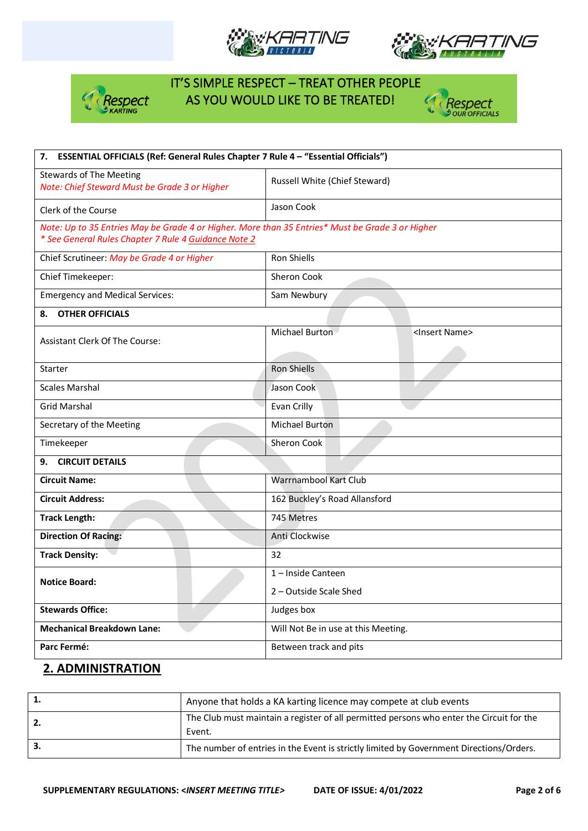







| 7. ESSENTIAL OFFICIALS (Ref: General Rules Chapter 7 Rule 4 - "Essential Officials")                                                                     |                                             |  |  |
|----------------------------------------------------------------------------------------------------------------------------------------------------------|---------------------------------------------|--|--|
| <b>Stewards of The Meeting</b><br>Note: Chief Steward Must be Grade 3 or Higher                                                                          | Russell White (Chief Steward)               |  |  |
| Clerk of the Course                                                                                                                                      | Jason Cook                                  |  |  |
| Note: Up to 35 Entries May be Grade 4 or Higher. More than 35 Entries* Must be Grade 3 or Higher<br>* See General Rules Chapter 7 Rule 4 Guidance Note 2 |                                             |  |  |
| Chief Scrutineer: May be Grade 4 or Higher                                                                                                               | Ron Shiells                                 |  |  |
| Chief Timekeeper:                                                                                                                                        | Sheron Cook                                 |  |  |
| <b>Emergency and Medical Services:</b>                                                                                                                   | Sam Newbury                                 |  |  |
| <b>OTHER OFFICIALS</b><br>8.                                                                                                                             |                                             |  |  |
| <b>Assistant Clerk Of The Course:</b>                                                                                                                    | Michael Burton<br><insert name=""></insert> |  |  |
| Starter                                                                                                                                                  | Ron Shiells                                 |  |  |
| <b>Scales Marshal</b>                                                                                                                                    | Jason Cook                                  |  |  |
| <b>Grid Marshal</b>                                                                                                                                      | Evan Crilly                                 |  |  |
| Secretary of the Meeting                                                                                                                                 | <b>Michael Burton</b>                       |  |  |
| Timekeeper                                                                                                                                               | Sheron Cook                                 |  |  |
| <b>CIRCUIT DETAILS</b><br>9.                                                                                                                             |                                             |  |  |
| <b>Circuit Name:</b>                                                                                                                                     | Warrnambool Kart Club                       |  |  |
| <b>Circuit Address:</b>                                                                                                                                  | 162 Buckley's Road Allansford               |  |  |
| <b>Track Length:</b>                                                                                                                                     | 745 Metres                                  |  |  |
| <b>Direction Of Racing:</b>                                                                                                                              | Anti Clockwise                              |  |  |
| <b>Track Density:</b>                                                                                                                                    | 32                                          |  |  |
| <b>Notice Board:</b>                                                                                                                                     | 1-Inside Canteen                            |  |  |
|                                                                                                                                                          | 2 – Outside Scale Shed                      |  |  |
| <b>Stewards Office:</b>                                                                                                                                  | Judges box                                  |  |  |
| <b>Mechanical Breakdown Lane:</b>                                                                                                                        | Will Not Be in use at this Meeting.         |  |  |
| Parc Fermé:                                                                                                                                              | Between track and pits                      |  |  |

#### **2. ADMINISTRATION**

| Anyone that holds a KA karting licence may compete at club events                                  |
|----------------------------------------------------------------------------------------------------|
| The Club must maintain a register of all permitted persons who enter the Circuit for the<br>Event. |
| The number of entries in the Event is strictly limited by Government Directions/Orders.            |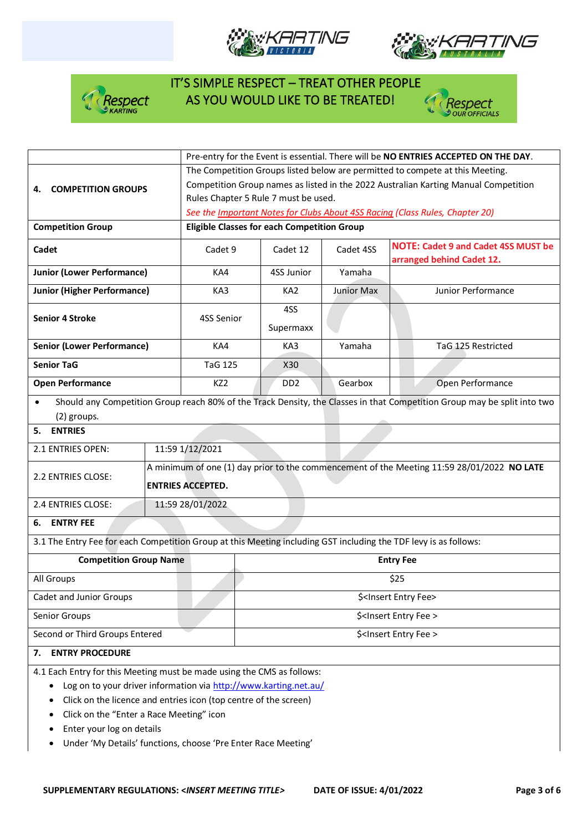







|                                                                                                                  | Pre-entry for the Event is essential. There will be NO ENTRIES ACCEPTED ON THE DAY.        |                                      |            |                                                                                                                          |  |  |
|------------------------------------------------------------------------------------------------------------------|--------------------------------------------------------------------------------------------|--------------------------------------|------------|--------------------------------------------------------------------------------------------------------------------------|--|--|
|                                                                                                                  | The Competition Groups listed below are permitted to compete at this Meeting.              |                                      |            |                                                                                                                          |  |  |
| <b>COMPETITION GROUPS</b><br>4.                                                                                  | Competition Group names as listed in the 2022 Australian Karting Manual Competition        |                                      |            |                                                                                                                          |  |  |
|                                                                                                                  |                                                                                            | Rules Chapter 5 Rule 7 must be used. |            |                                                                                                                          |  |  |
|                                                                                                                  |                                                                                            |                                      |            | See the Important Notes for Clubs About 4SS Racing (Class Rules, Chapter 20)                                             |  |  |
| <b>Competition Group</b>                                                                                         | <b>Eligible Classes for each Competition Group</b>                                         |                                      |            |                                                                                                                          |  |  |
| Cadet                                                                                                            | Cadet 9<br>Cadet 12                                                                        |                                      | Cadet 4SS  | <b>NOTE: Cadet 9 and Cadet 4SS MUST be</b><br>arranged behind Cadet 12.                                                  |  |  |
| <b>Junior (Lower Performance)</b>                                                                                | KA4                                                                                        | 4SS Junior                           | Yamaha     |                                                                                                                          |  |  |
| <b>Junior (Higher Performance)</b>                                                                               | KA3                                                                                        | KA <sub>2</sub>                      | Junior Max | Junior Performance                                                                                                       |  |  |
|                                                                                                                  |                                                                                            | 4SS                                  |            |                                                                                                                          |  |  |
| <b>Senior 4 Stroke</b>                                                                                           | 4SS Senior                                                                                 | Supermaxx                            |            |                                                                                                                          |  |  |
| <b>Senior (Lower Performance)</b>                                                                                | KA4                                                                                        | KA3                                  | Yamaha     | TaG 125 Restricted                                                                                                       |  |  |
| <b>Senior TaG</b>                                                                                                | <b>TaG 125</b>                                                                             | X30                                  |            |                                                                                                                          |  |  |
| <b>Open Performance</b>                                                                                          | KZ <sub>2</sub>                                                                            | DD <sub>2</sub>                      | Gearbox    | Open Performance                                                                                                         |  |  |
| $\bullet$                                                                                                        |                                                                                            |                                      |            | Should any Competition Group reach 80% of the Track Density, the Classes in that Competition Group may be split into two |  |  |
| (2) groups.                                                                                                      |                                                                                            |                                      |            |                                                                                                                          |  |  |
| <b>ENTRIES</b><br>5.                                                                                             |                                                                                            |                                      |            |                                                                                                                          |  |  |
| 2.1 ENTRIES OPEN:                                                                                                | 11:59 1/12/2021                                                                            |                                      |            |                                                                                                                          |  |  |
|                                                                                                                  | A minimum of one (1) day prior to the commencement of the Meeting 11:59 28/01/2022 NO LATE |                                      |            |                                                                                                                          |  |  |
| 2.2 ENTRIES CLOSE:                                                                                               | <b>ENTRIES ACCEPTED.</b>                                                                   |                                      |            |                                                                                                                          |  |  |
| 2.4 ENTRIES CLOSE:                                                                                               | 11:59 28/01/2022                                                                           |                                      |            |                                                                                                                          |  |  |
| <b>ENTRY FEE</b><br>6.                                                                                           |                                                                                            |                                      |            |                                                                                                                          |  |  |
| 3.1 The Entry Fee for each Competition Group at this Meeting including GST including the TDF levy is as follows: |                                                                                            |                                      |            |                                                                                                                          |  |  |
| <b>Competition Group Name</b>                                                                                    |                                                                                            | <b>Entry Fee</b>                     |            |                                                                                                                          |  |  |
| All Groups                                                                                                       |                                                                                            | \$25                                 |            |                                                                                                                          |  |  |
| <b>Cadet and Junior Groups</b>                                                                                   |                                                                                            | \$ <insert entry="" fee=""></insert> |            |                                                                                                                          |  |  |
| Senior Groups                                                                                                    |                                                                                            | \$ <insert entry="" fee=""></insert> |            |                                                                                                                          |  |  |
| Second or Third Groups Entered                                                                                   |                                                                                            | \$ <insert entry="" fee=""></insert> |            |                                                                                                                          |  |  |
| <b>ENTRY PROCEDURE</b><br>7.                                                                                     |                                                                                            |                                      |            |                                                                                                                          |  |  |
| 4.1 Each Entry for this Meeting must be made using the CMS as follows:                                           |                                                                                            |                                      |            |                                                                                                                          |  |  |
| Log on to your driver information via http://www.karting.net.au/                                                 |                                                                                            |                                      |            |                                                                                                                          |  |  |

- Click on the licence and entries icon (top centre of the screen)
- Click on the "Enter a Race Meeting" icon
- Enter your log on details
- Under 'My Details' functions, choose 'Pre Enter Race Meeting'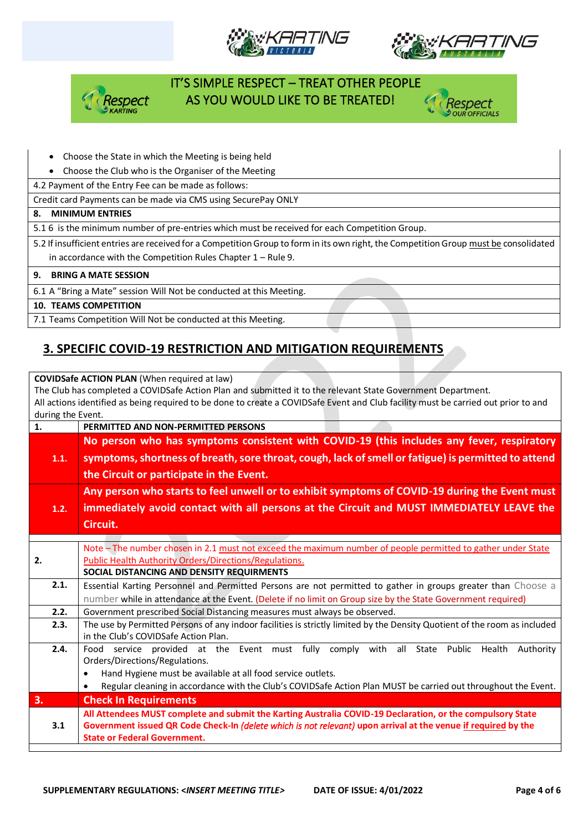







- Choose the State in which the Meeting is being held
- Choose the Club who is the Organiser of the Meeting
- 4.2 Payment of the Entry Fee can be made as follows:

Credit card Payments can be made via CMS using SecurePay ONLY

#### **8. MINIMUM ENTRIES**

5.1 6 is the minimum number of pre-entries which must be received for each Competition Group.

5.2 If insufficient entries are received for a Competition Group to form in its own right, the Competition Group must be consolidated in accordance with the Competition Rules Chapter 1 – Rule 9.

#### **9. BRING A MATE SESSION**

6.1 A "Bring a Mate" session Will Not be conducted at this Meeting.

**10. TEAMS COMPETITION**

7.1 Teams Competition Will Not be conducted at this Meeting.

### **3. SPECIFIC COVID-19 RESTRICTION AND MITIGATION REQUIREMENTS**

**COVIDSafe ACTION PLAN** (When required at law) The Club has completed a COVIDSafe Action Plan and submitted it to the relevant State Government Department. All actions identified as being required to be done to create a COVIDSafe Event and Club facility must be carried out prior to and during the Event. **1. PERMITTED AND NON-PERMITTED PERSONS 1.1. No person who has symptoms consistent with COVID-19 (this includes any fever, respiratory symptoms, shortness of breath, sore throat, cough, lack of smell or fatigue) is permitted to attend the Circuit or participate in the Event. 1.2. Any person who starts to feel unwell or to exhibit symptoms of COVID-19 during the Event must immediately avoid contact with all persons at the Circuit and MUST IMMEDIATELY LEAVE the Circuit. 2.** Note – The number chosen in 2.1 must not exceed the maximum number of people permitted to gather under State Public Health Authority Orders/Directions/Regulations. **SOCIAL DISTANCING AND DENSITY REQUIRMENTS 2.1.** Essential Karting Personnel and Permitted Persons are not permitted to gather in groups greater than Choose a number while in attendance at the Event. (Delete if no limit on Group size by the State Government required) **2.2.** Government prescribed Social Distancing measures must always be observed. **2.3.** The use by Permitted Persons of any indoor facilities is strictly limited by the Density Quotient of the room as included in the Club's COVIDSafe Action Plan. **2.4.** Food service provided at the Event must fully comply with all State Public Health Authority Orders/Directions/Regulations. • Hand Hygiene must be available at all food service outlets. • Regular cleaning in accordance with the Club's COVIDSafe Action Plan MUST be carried out throughout the Event. **3. Check In Requirements 3.1 All Attendees MUST complete and submit the Karting Australia COVID-19 Declaration, or the compulsory State Government issued QR Code Check-In** *(delete which is not relevant)* **upon arrival at the venue if required by the State or Federal Government.**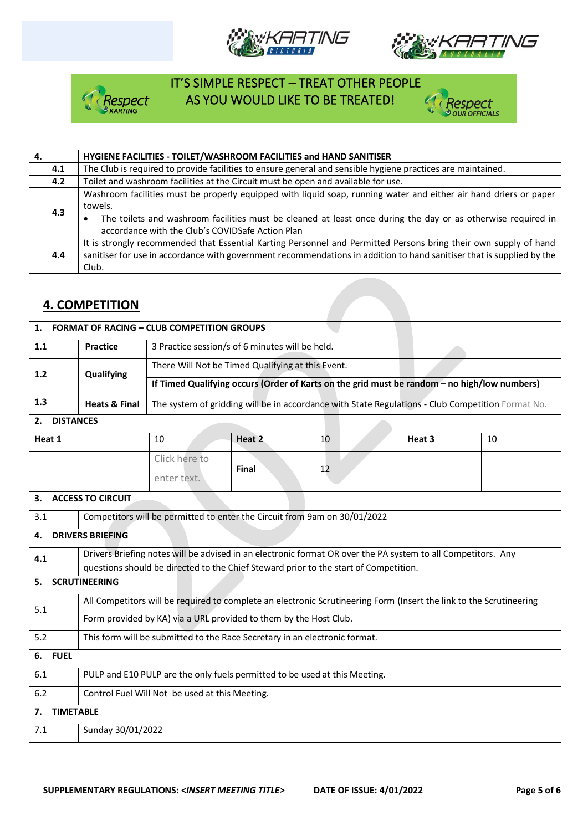







| 4.  | HYGIENE FACILITIES - TOILET/WASHROOM FACILITIES and HAND SANITISER                                                                                                                                                                                                                               |
|-----|--------------------------------------------------------------------------------------------------------------------------------------------------------------------------------------------------------------------------------------------------------------------------------------------------|
| 4.1 | The Club is required to provide facilities to ensure general and sensible hygiene practices are maintained.                                                                                                                                                                                      |
| 4.2 | Toilet and washroom facilities at the Circuit must be open and available for use.                                                                                                                                                                                                                |
| 4.3 | Washroom facilities must be properly equipped with liquid soap, running water and either air hand driers or paper<br>towels.<br>The toilets and washroom facilities must be cleaned at least once during the day or as otherwise required in<br>accordance with the Club's COVIDSafe Action Plan |
| 4.4 | It is strongly recommended that Essential Karting Personnel and Permitted Persons bring their own supply of hand<br>sanitiser for use in accordance with government recommendations in addition to hand sanitiser that is supplied by the<br>Club.                                               |

### **4. COMPETITION**

| <b>FORMAT OF RACING - CLUB COMPETITION GROUPS</b><br>1. |                                                                                                                     |                                                                                                              |                                                                                                   |    |        |    |  |
|---------------------------------------------------------|---------------------------------------------------------------------------------------------------------------------|--------------------------------------------------------------------------------------------------------------|---------------------------------------------------------------------------------------------------|----|--------|----|--|
| 1.1                                                     | <b>Practice</b>                                                                                                     | 3 Practice session/s of 6 minutes will be held.                                                              |                                                                                                   |    |        |    |  |
| $1.2$                                                   | Qualifying                                                                                                          | There Will Not be Timed Qualifying at this Event.                                                            |                                                                                                   |    |        |    |  |
|                                                         |                                                                                                                     | If Timed Qualifying occurs (Order of Karts on the grid must be random - no high/low numbers)                 |                                                                                                   |    |        |    |  |
| 1.3                                                     | <b>Heats &amp; Final</b>                                                                                            |                                                                                                              | The system of gridding will be in accordance with State Regulations - Club Competition Format No. |    |        |    |  |
| <b>DISTANCES</b><br>2.                                  |                                                                                                                     |                                                                                                              |                                                                                                   |    |        |    |  |
| Heat 1                                                  |                                                                                                                     | 10                                                                                                           | Heat 2                                                                                            | 10 | Heat 3 | 10 |  |
|                                                         |                                                                                                                     | Click here to                                                                                                | <b>Final</b>                                                                                      | 12 |        |    |  |
|                                                         |                                                                                                                     | enter text.                                                                                                  |                                                                                                   |    |        |    |  |
| 3.                                                      | <b>ACCESS TO CIRCUIT</b>                                                                                            |                                                                                                              |                                                                                                   |    |        |    |  |
| 3.1                                                     |                                                                                                                     | Competitors will be permitted to enter the Circuit from 9am on 30/01/2022                                    |                                                                                                   |    |        |    |  |
| 4.                                                      | <b>DRIVERS BRIEFING</b>                                                                                             |                                                                                                              |                                                                                                   |    |        |    |  |
| 4.1                                                     |                                                                                                                     | Drivers Briefing notes will be advised in an electronic format OR over the PA system to all Competitors. Any |                                                                                                   |    |        |    |  |
|                                                         | questions should be directed to the Chief Steward prior to the start of Competition.                                |                                                                                                              |                                                                                                   |    |        |    |  |
| <b>SCRUTINEERING</b><br>5.                              |                                                                                                                     |                                                                                                              |                                                                                                   |    |        |    |  |
| 5.1                                                     | All Competitors will be required to complete an electronic Scrutineering Form (Insert the link to the Scrutineering |                                                                                                              |                                                                                                   |    |        |    |  |
|                                                         | Form provided by KA) via a URL provided to them by the Host Club.                                                   |                                                                                                              |                                                                                                   |    |        |    |  |
| 5.2                                                     | This form will be submitted to the Race Secretary in an electronic format.                                          |                                                                                                              |                                                                                                   |    |        |    |  |
| <b>FUEL</b><br>6.                                       |                                                                                                                     |                                                                                                              |                                                                                                   |    |        |    |  |
| 6.1                                                     | PULP and E10 PULP are the only fuels permitted to be used at this Meeting.                                          |                                                                                                              |                                                                                                   |    |        |    |  |
| 6.2                                                     | Control Fuel Will Not be used at this Meeting.                                                                      |                                                                                                              |                                                                                                   |    |        |    |  |
| <b>TIMETABLE</b><br>7.                                  |                                                                                                                     |                                                                                                              |                                                                                                   |    |        |    |  |
| 7.1                                                     | Sunday 30/01/2022                                                                                                   |                                                                                                              |                                                                                                   |    |        |    |  |